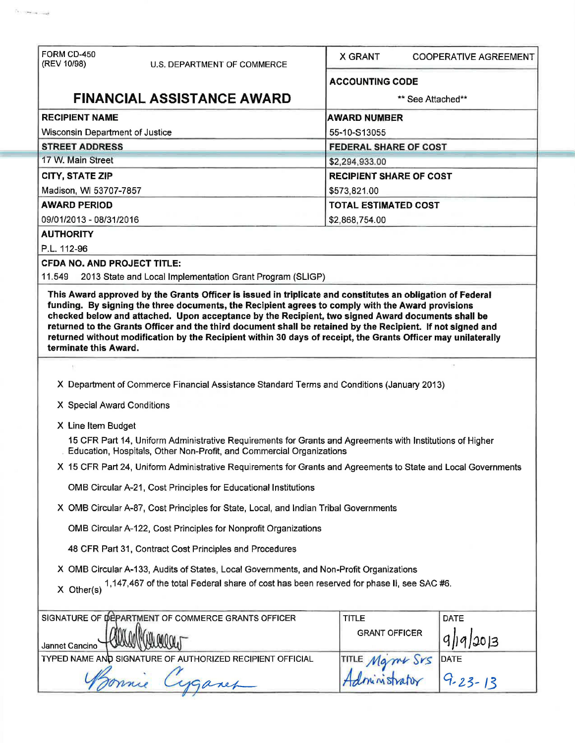| FORM CD-450<br>(REV 10/98)<br>U.S. DEPARTMENT OF COMMERCE                                                                                                                         | <b>X GRANT</b>                 | <b>COOPERATIVE AGREEMENT</b> |  |  |
|-----------------------------------------------------------------------------------------------------------------------------------------------------------------------------------|--------------------------------|------------------------------|--|--|
|                                                                                                                                                                                   | <b>ACCOUNTING CODE</b>         |                              |  |  |
| <b>FINANCIAL ASSISTANCE AWARD</b>                                                                                                                                                 | ** See Attached**              |                              |  |  |
| <b>RECIPIENT NAME</b>                                                                                                                                                             | <b>AWARD NUMBER</b>            |                              |  |  |
| <b>Wisconsin Department of Justice</b>                                                                                                                                            | 55-10-S13055                   |                              |  |  |
| <b>STREET ADDRESS</b>                                                                                                                                                             | <b>FEDERAL SHARE OF COST</b>   |                              |  |  |
| 17 W. Main Street                                                                                                                                                                 | \$2,294,933.00                 |                              |  |  |
| <b>CITY, STATE ZIP</b>                                                                                                                                                            | <b>RECIPIENT SHARE OF COST</b> |                              |  |  |
| Madison, WI 53707-7857                                                                                                                                                            | \$573,821.00                   |                              |  |  |
| <b>AWARD PERIOD</b>                                                                                                                                                               | <b>TOTAL ESTIMATED COST</b>    |                              |  |  |
| 09/01/2013 - 08/31/2016                                                                                                                                                           | \$2,868,754.00                 |                              |  |  |
| <b>AUTHORITY</b>                                                                                                                                                                  |                                |                              |  |  |
| P.L. 112-96                                                                                                                                                                       |                                |                              |  |  |
| <b>CFDA NO. AND PROJECT TITLE:</b>                                                                                                                                                |                                |                              |  |  |
| 2013 State and Local Implementation Grant Program (SLIGP)<br>11.549                                                                                                               |                                |                              |  |  |
| terminate this Award.                                                                                                                                                             |                                |                              |  |  |
| X Department of Commerce Financial Assistance Standard Terms and Conditions (January 2013)                                                                                        |                                |                              |  |  |
| X Special Award Conditions                                                                                                                                                        |                                |                              |  |  |
| X Line Item Budget                                                                                                                                                                |                                |                              |  |  |
| 15 CFR Part 14, Uniform Administrative Requirements for Grants and Agreements with Institutions of Higher<br>Education, Hospitals, Other Non-Profit, and Commercial Organizations |                                |                              |  |  |
| X 15 CFR Part 24, Uniform Administrative Requirements for Grants and Agreements to State and Local Governments                                                                    |                                |                              |  |  |
| OMB Circular A-21, Cost Principles for Educational Institutions                                                                                                                   |                                |                              |  |  |
| X OMB Circular A-87, Cost Principles for State, Local, and Indian Tribal Governments                                                                                              |                                |                              |  |  |
| OMB Circular A-122, Cost Principles for Nonprofit Organizations                                                                                                                   |                                |                              |  |  |
| 48 CFR Part 31, Contract Cost Principles and Procedures                                                                                                                           |                                |                              |  |  |
| X OMB Circular A-133, Audits of States, Local Governments, and Non-Profit Organizations                                                                                           |                                |                              |  |  |
| 1,147,467 of the total Federal share of cost has been reserved for phase II, see SAC #6.<br>$X$ Other(s)                                                                          |                                |                              |  |  |
|                                                                                                                                                                                   | <b>TITLE</b>                   | <b>DATE</b>                  |  |  |
|                                                                                                                                                                                   | <b>GRANT OFFICER</b>           | 20 3                         |  |  |
| SIGNATURE OF DEPARTMENT OF COMMERCE GRANTS OFFICER<br>Jannet Cancino<br>TYPED NAME AND SIGNATURE OF AUTHORIZED RECIPIENT OFFICIAL                                                 |                                | <b>DATE</b>                  |  |  |

 $\alpha_{\rm{max}}$